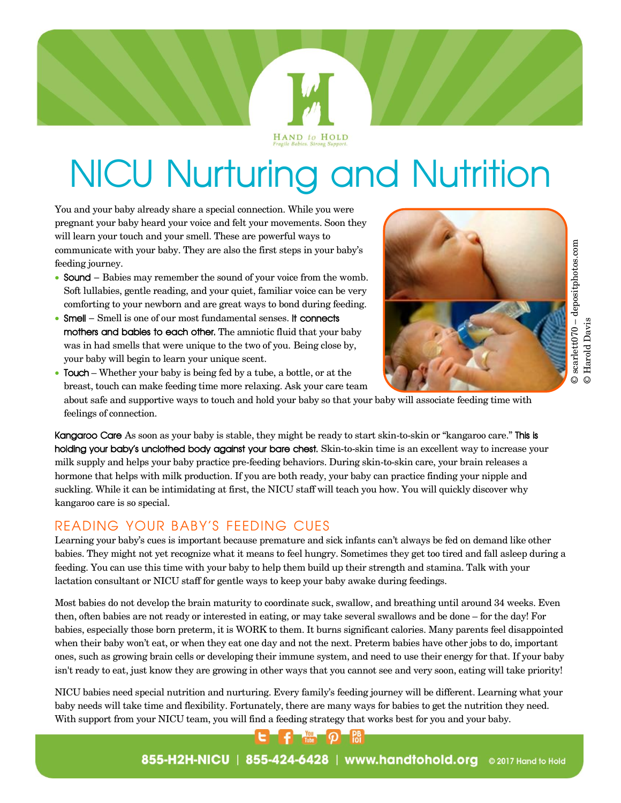

I and your baby already share a special connection. While you were<br>spant your baby heard your voice and felt your movements. Soon they You and your baby already share a special connection. While you were pregnant your baby heard your voice and felt your movements. Soon they will learn your touch and your smell. These are powerful ways to communicate with your baby. They are also the first steps in your baby's feeding journey.

- Sound Babies may remember the sound of your voice from the womb. Soft lullabies, gentle reading, and your quiet, familiar voice can be very comforting to your newborn and are great ways to bond during feeding.
- Smell Smell is one of our most fundamental senses. It connects mothers and babies to each other. The amniotic fluid that your baby was in had smells that were unique to the two of you. Being close by, your baby will begin to learn your unique scent.



 $@searchet 070 - deposit photos.com$ © scarlett070 – depositphotos.com © Harold Davis © Harold Davis

 Touch – Whether your baby is being fed by a tube, a bottle, or at the breast, touch can make feeding time more relaxing. Ask your care team about safe and supportive ways to touch and hold your baby so that your baby will associate feeding time with feelings of connection.

Kangaroo Care As soon as your baby is stable, they might be ready to start skin-to-skin or "kangaroo care." This is holding your baby's unclothed body against your bare chest. Skin-to-skin time is an excellent way to increase your milk supply and helps your baby practice pre-feeding behaviors. During skin-to-skin care, your brain releases a hormone that helps with milk production. If you are both ready, your baby can practice finding your nipple and suckling. While it can be intimidating at first, the NICU staff will teach you how. You will quickly discover why kangaroo care is so special.

# READING YOUR BABY'S FEEDING CUES

Learning your baby's cues is important because premature and sick infants can't always be fed on demand like other babies. They might not yet recognize what it means to feel hungry. Sometimes they get too tired and fall asleep during a feeding. You can use this time with your baby to help them build up their strength and stamina. Talk with your lactation consultant or NICU staff for gentle ways to keep your baby awake during feedings.

Most babies do not develop the brain maturity to coordinate suck, swallow, and breathing until around 34 weeks. Even then, often babies are not ready or interested in eating, or may take several swallows and be done – for the day! For babies, especially those born preterm, it is WORK to them. It burns significant calories. Many parents feel disappointed when their baby won't eat, or when they eat one day and not the next. Preterm babies have other jobs to do, important ones, such as growing brain cells or developing their immune system, and need to use their energy for that. If your baby isn't ready to eat, just know they are growing in other ways that you cannot see and very soon, eating will take priority!

NICU babies need special nutrition and nurturing. Every family's feeding journey will be different. Learning what your baby needs will take time and flexibility. Fortunately, there are many ways for babies to get the nutrition they need. With support from your NICU team, you will find a feeding strategy that works best for you and your baby.